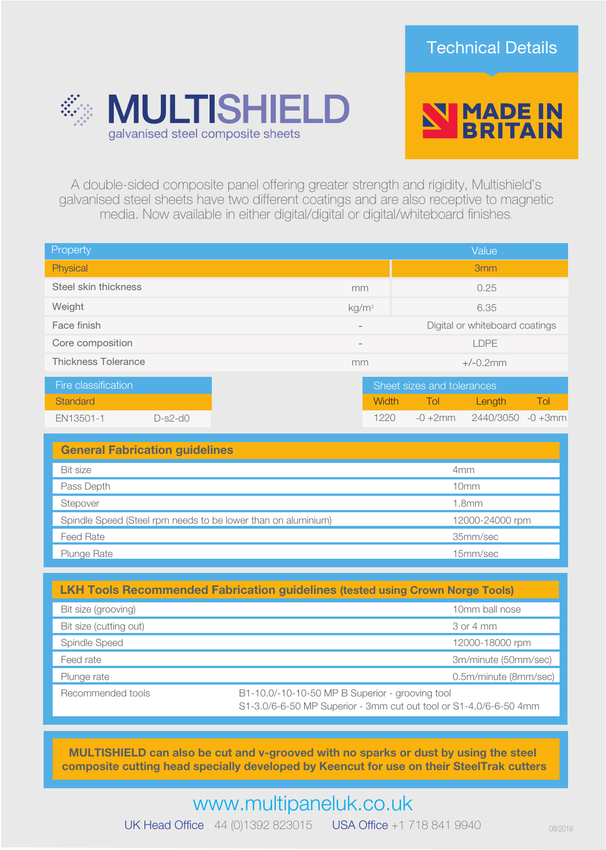



A double-sided composite panel offering greater strength and rigidity, Multishield's galvanised steel sheets have two different coatings and are also receptive to magnetic media. Now available in either digital/digital or digital/whiteboard finishes.

| Property                   |           |                          |                                | Value           |            |
|----------------------------|-----------|--------------------------|--------------------------------|-----------------|------------|
| Physical                   |           |                          |                                | 3 <sub>mm</sub> |            |
| Steel skin thickness       |           | mm                       | 0.25                           |                 |            |
| Weight                     |           | kg/m <sup>2</sup>        | 6.35                           |                 |            |
| Face finish                |           | $\overline{\phantom{0}}$ | Digital or whiteboard coatings |                 |            |
| Core composition           |           | $\overline{\phantom{0}}$ | <b>LDPE</b>                    |                 |            |
| <b>Thickness Tolerance</b> |           | mm                       | $+/-0.2$ mm                    |                 |            |
| Fire classification        |           |                          | Sheet sizes and tolerances     |                 |            |
| Standard                   |           | Width                    | Tol                            | Length          | Tol        |
| EN13501-1                  | $D-s2-d0$ | 1220                     | $-0 + 2mm$                     | 2440/3050       | $-0 + 3mm$ |

| <b>General Fabrication guidelines</b>                         |                 |  |  |  |  |
|---------------------------------------------------------------|-----------------|--|--|--|--|
| <b>Bit size</b>                                               | 4 <sub>mm</sub> |  |  |  |  |
| Pass Depth                                                    | 10mm            |  |  |  |  |
| Stepover                                                      | 1.8mm           |  |  |  |  |
| Spindle Speed (Steel rpm needs to be lower than on aluminium) | 12000-24000 rpm |  |  |  |  |
| <b>Feed Rate</b>                                              | 35mm/sec        |  |  |  |  |
| <b>Plunge Rate</b>                                            | 15mm/sec        |  |  |  |  |

| <b>LKH Tools Recommended Fabrication guidelines (tested using Crown Norge Tools)</b> |                                                                                                                      |  |  |  |  |
|--------------------------------------------------------------------------------------|----------------------------------------------------------------------------------------------------------------------|--|--|--|--|
| Bit size (grooving)                                                                  | 10mm ball nose                                                                                                       |  |  |  |  |
| Bit size (cutting out)                                                               | 3 or 4 mm                                                                                                            |  |  |  |  |
| Spindle Speed                                                                        | 12000-18000 rpm                                                                                                      |  |  |  |  |
| Feed rate                                                                            | 3m/minute (50mm/sec)                                                                                                 |  |  |  |  |
| Plunge rate                                                                          | 0.5m/minute (8mm/sec)                                                                                                |  |  |  |  |
| Recommended tools                                                                    | B1-10.0/-10-10-50 MP B Superior - grooving tool<br>S1-3.0/6-6-50 MP Superior - 3mm cut out tool or S1-4.0/6-6-50 4mm |  |  |  |  |

MULTISHIELD can also be cut and v-grooved with no sparks or dust by using the steel composite cutting head specially developed by Keencut for use on their SteelTrak cutters